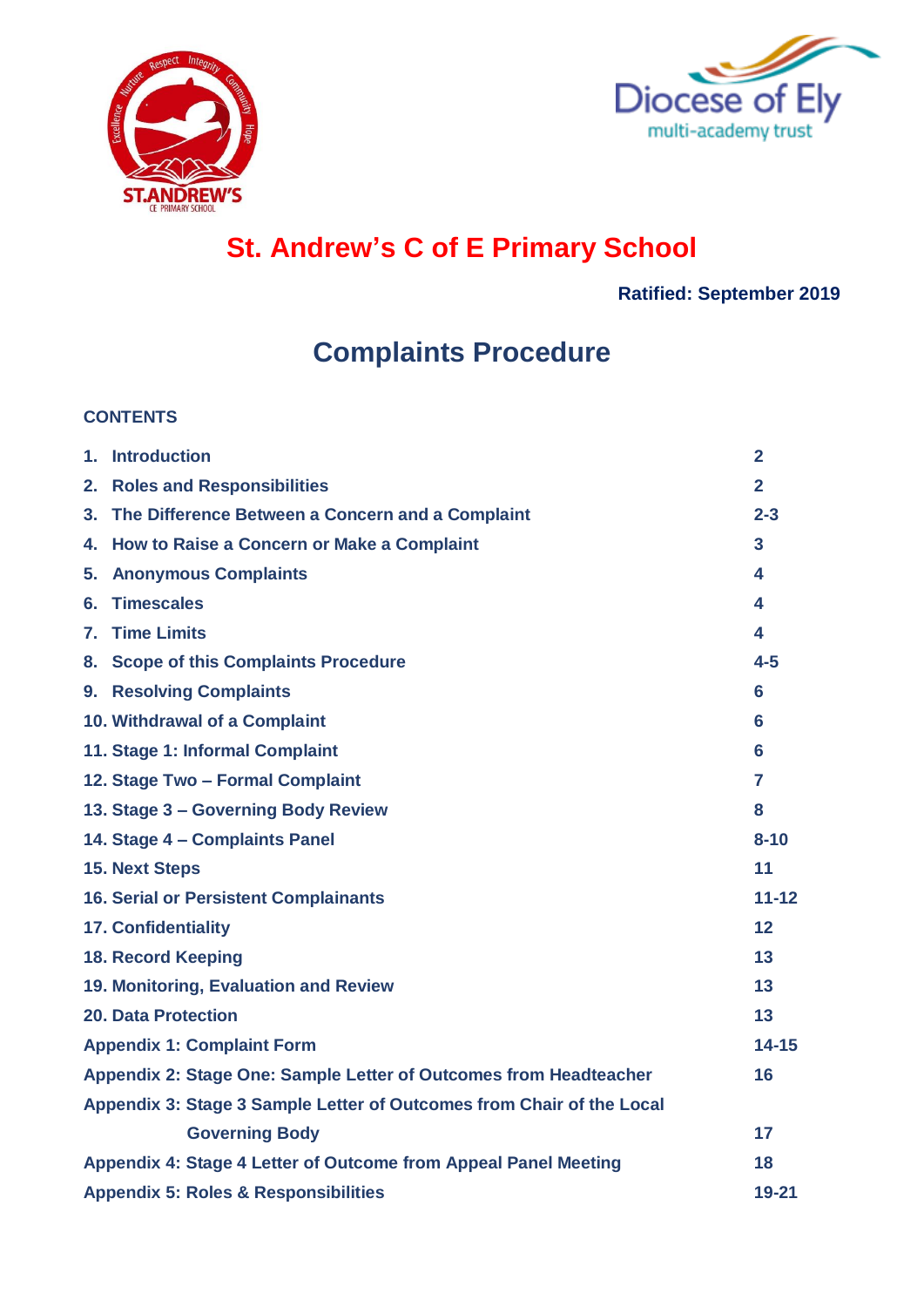



# **St. Andrew's C of E Primary School**

**Ratified: September 2019**

# **Complaints Procedure**

#### **CONTENTS**

| 1. | <b>Introduction</b>                                                   | $\overline{2}$ |
|----|-----------------------------------------------------------------------|----------------|
| 2. | <b>Roles and Responsibilities</b>                                     | $\overline{2}$ |
|    | 3. The Difference Between a Concern and a Complaint                   | $2 - 3$        |
|    | 4. How to Raise a Concern or Make a Complaint                         | 3              |
| 5. | <b>Anonymous Complaints</b>                                           | 4              |
| 6. | <b>Timescales</b>                                                     | 4              |
| 7. | <b>Time Limits</b>                                                    | 4              |
|    | 8. Scope of this Complaints Procedure                                 | $4 - 5$        |
|    | 9. Resolving Complaints                                               | 6              |
|    | 10. Withdrawal of a Complaint                                         | 6              |
|    | 11. Stage 1: Informal Complaint                                       | 6              |
|    | 12. Stage Two - Formal Complaint                                      | 7              |
|    | 13. Stage 3 - Governing Body Review                                   | 8              |
|    | 14. Stage 4 - Complaints Panel                                        | $8 - 10$       |
|    | <b>15. Next Steps</b>                                                 | 11             |
|    | <b>16. Serial or Persistent Complainants</b>                          | $11 - 12$      |
|    | <b>17. Confidentiality</b>                                            | 12             |
|    | <b>18. Record Keeping</b>                                             | 13             |
|    | 19. Monitoring, Evaluation and Review                                 | 13             |
|    | 20. Data Protection                                                   | 13             |
|    | <b>Appendix 1: Complaint Form</b>                                     | $14 - 15$      |
|    | Appendix 2: Stage One: Sample Letter of Outcomes from Headteacher     | 16             |
|    | Appendix 3: Stage 3 Sample Letter of Outcomes from Chair of the Local |                |
|    | <b>Governing Body</b>                                                 | 17             |
|    | Appendix 4: Stage 4 Letter of Outcome from Appeal Panel Meeting       | 18             |
|    | <b>Appendix 5: Roles &amp; Responsibilities</b>                       | $19 - 21$      |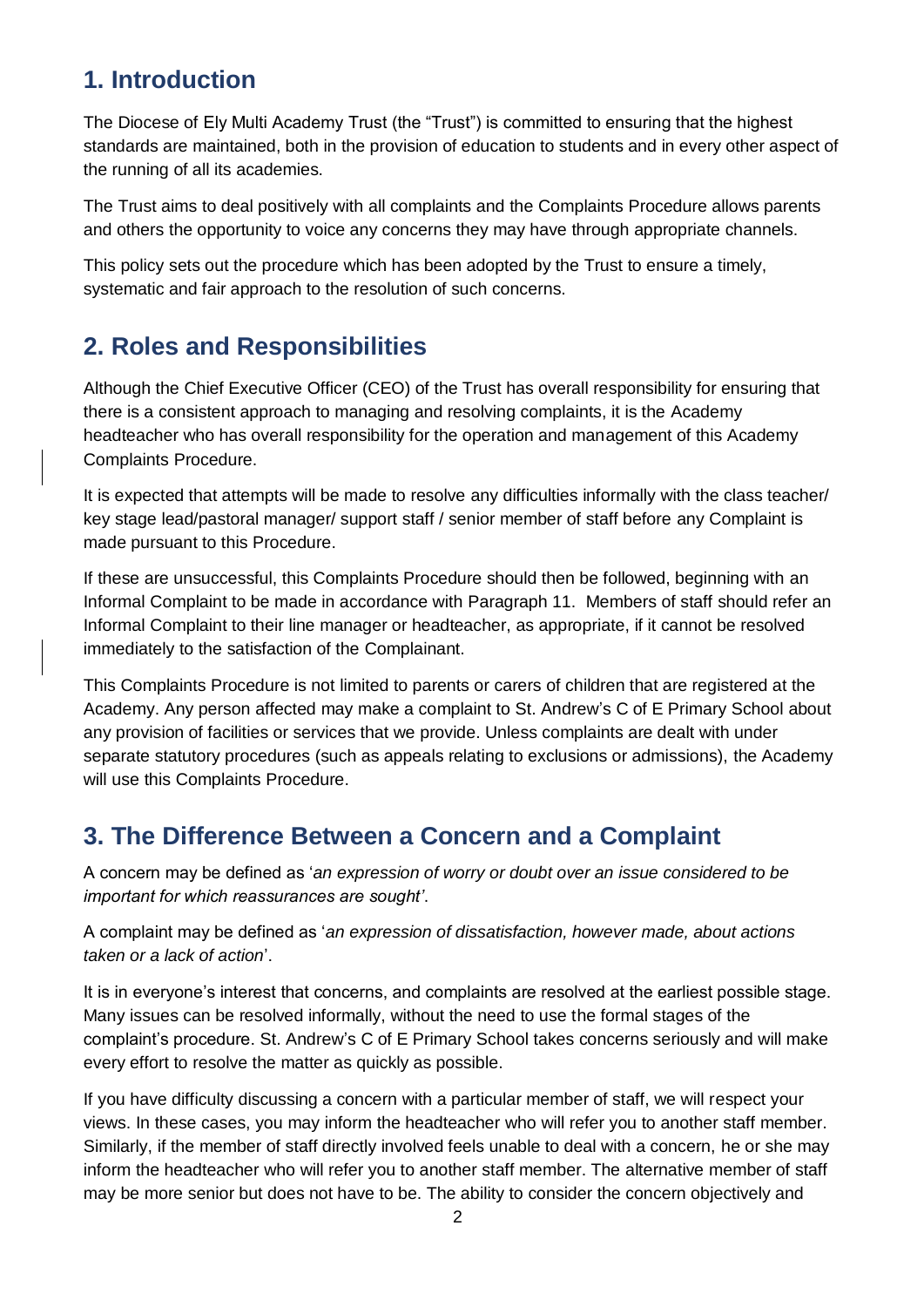# **1. Introduction**

The Diocese of Ely Multi Academy Trust (the "Trust") is committed to ensuring that the highest standards are maintained, both in the provision of education to students and in every other aspect of the running of all its academies.

The Trust aims to deal positively with all complaints and the Complaints Procedure allows parents and others the opportunity to voice any concerns they may have through appropriate channels.

This policy sets out the procedure which has been adopted by the Trust to ensure a timely, systematic and fair approach to the resolution of such concerns.

# **2. Roles and Responsibilities**

Although the Chief Executive Officer (CEO) of the Trust has overall responsibility for ensuring that there is a consistent approach to managing and resolving complaints, it is the Academy headteacher who has overall responsibility for the operation and management of this Academy Complaints Procedure.

It is expected that attempts will be made to resolve any difficulties informally with the class teacher/ key stage lead/pastoral manager/ support staff / senior member of staff before any Complaint is made pursuant to this Procedure.

If these are unsuccessful, this Complaints Procedure should then be followed, beginning with an Informal Complaint to be made in accordance with Paragraph 11. Members of staff should refer an Informal Complaint to their line manager or headteacher, as appropriate, if it cannot be resolved immediately to the satisfaction of the Complainant.

This Complaints Procedure is not limited to parents or carers of children that are registered at the Academy. Any person affected may make a complaint to St. Andrew's C of E Primary School about any provision of facilities or services that we provide. Unless complaints are dealt with under separate statutory procedures (such as appeals relating to exclusions or admissions), the Academy will use this Complaints Procedure.

## **3. The Difference Between a Concern and a Complaint**

A concern may be defined as '*an expression of worry or doubt over an issue considered to be important for which reassurances are sought'*.

A complaint may be defined as '*an expression of dissatisfaction, however made, about actions taken or a lack of action*'.

It is in everyone's interest that concerns, and complaints are resolved at the earliest possible stage. Many issues can be resolved informally, without the need to use the formal stages of the complaint's procedure. St. Andrew's C of E Primary School takes concerns seriously and will make every effort to resolve the matter as quickly as possible.

If you have difficulty discussing a concern with a particular member of staff, we will respect your views. In these cases, you may inform the headteacher who will refer you to another staff member. Similarly, if the member of staff directly involved feels unable to deal with a concern, he or she may inform the headteacher who will refer you to another staff member. The alternative member of staff may be more senior but does not have to be. The ability to consider the concern objectively and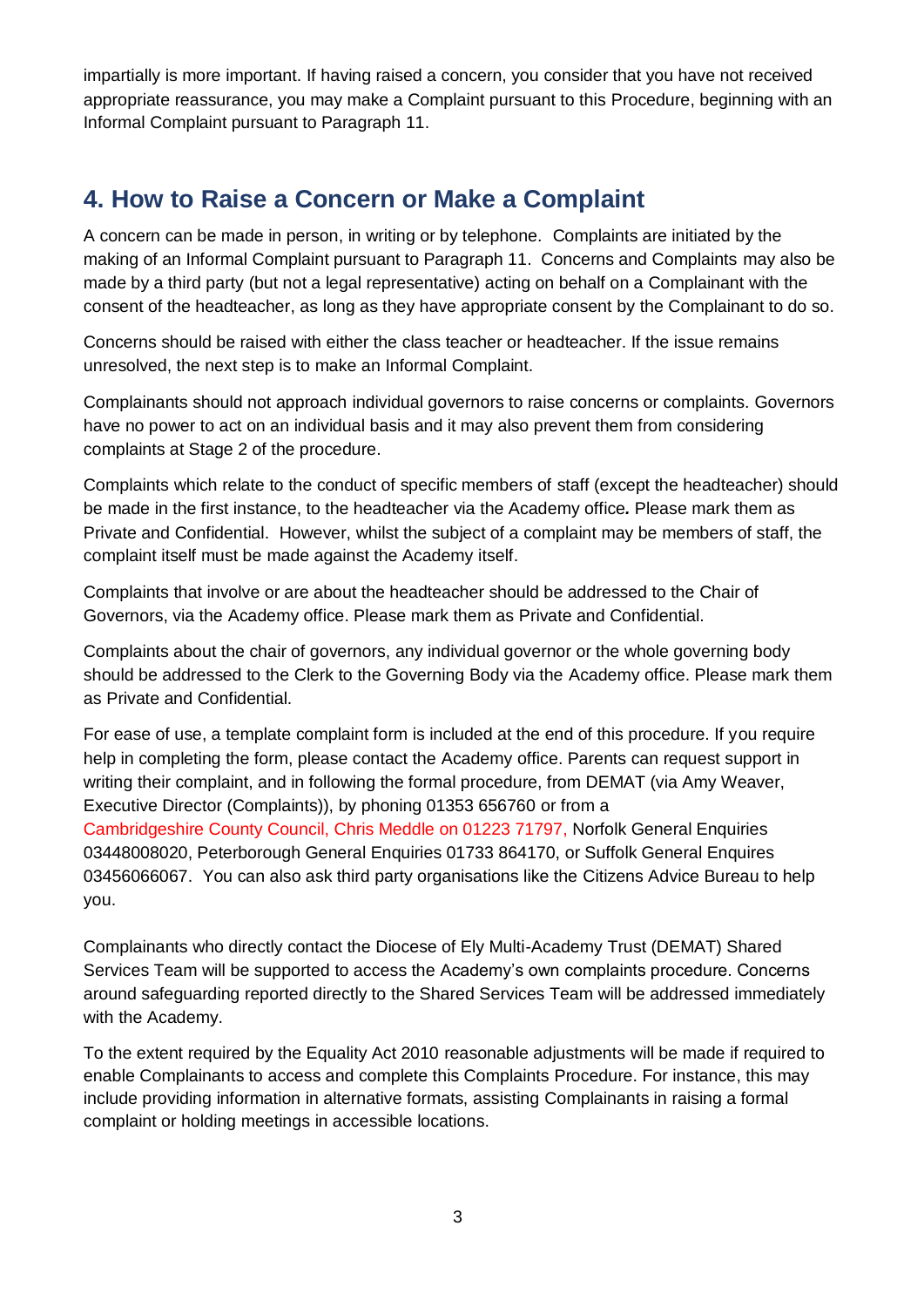impartially is more important. If having raised a concern, you consider that you have not received appropriate reassurance, you may make a Complaint pursuant to this Procedure, beginning with an Informal Complaint pursuant to Paragraph 11.

# **4. How to Raise a Concern or Make a Complaint**

A concern can be made in person, in writing or by telephone. Complaints are initiated by the making of an Informal Complaint pursuant to Paragraph 11. Concerns and Complaints may also be made by a third party (but not a legal representative) acting on behalf on a Complainant with the consent of the headteacher, as long as they have appropriate consent by the Complainant to do so.

Concerns should be raised with either the class teacher or headteacher. If the issue remains unresolved, the next step is to make an Informal Complaint.

Complainants should not approach individual governors to raise concerns or complaints. Governors have no power to act on an individual basis and it may also prevent them from considering complaints at Stage 2 of the procedure.

Complaints which relate to the conduct of specific members of staff (except the headteacher) should be made in the first instance, to the headteacher via the Academy office*.* Please mark them as Private and Confidential. However, whilst the subject of a complaint may be members of staff, the complaint itself must be made against the Academy itself.

Complaints that involve or are about the headteacher should be addressed to the Chair of Governors, via the Academy office. Please mark them as Private and Confidential.

Complaints about the chair of governors, any individual governor or the whole governing body should be addressed to the Clerk to the Governing Body via the Academy office. Please mark them as Private and Confidential.

For ease of use, a template complaint form is included at the end of this procedure. If you require help in completing the form, please contact the Academy office. Parents can request support in writing their complaint, and in following the formal procedure, from DEMAT (via Amy Weaver, Executive Director (Complaints)), by phoning 01353 656760 or from a Cambridgeshire County Council, Chris Meddle on 01223 71797, Norfolk General Enquiries 03448008020, Peterborough General Enquiries 01733 864170, or Suffolk General Enquires 03456066067. You can also ask third party organisations like the Citizens Advice Bureau to help you.

Complainants who directly contact the Diocese of Ely Multi-Academy Trust (DEMAT) Shared Services Team will be supported to access the Academy's own complaints procedure. Concerns around safeguarding reported directly to the Shared Services Team will be addressed immediately with the Academy.

To the extent required by the Equality Act 2010 reasonable adjustments will be made if required to enable Complainants to access and complete this Complaints Procedure. For instance, this may include providing information in alternative formats, assisting Complainants in raising a formal complaint or holding meetings in accessible locations.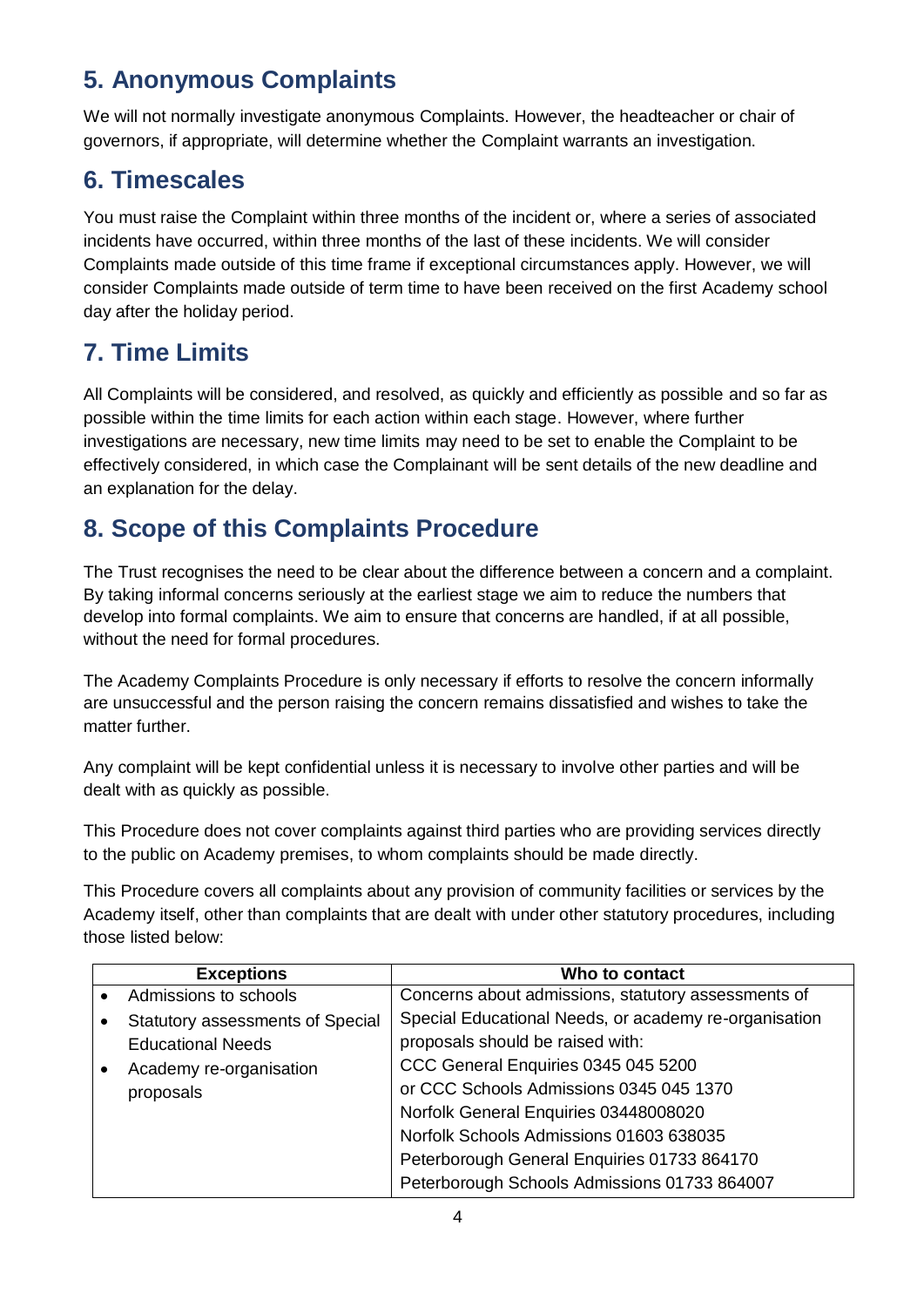# **5. Anonymous Complaints**

We will not normally investigate anonymous Complaints. However, the headteacher or chair of governors, if appropriate, will determine whether the Complaint warrants an investigation.

# **6. Timescales**

You must raise the Complaint within three months of the incident or, where a series of associated incidents have occurred, within three months of the last of these incidents. We will consider Complaints made outside of this time frame if exceptional circumstances apply. However, we will consider Complaints made outside of term time to have been received on the first Academy school day after the holiday period.

# **7. Time Limits**

All Complaints will be considered, and resolved, as quickly and efficiently as possible and so far as possible within the time limits for each action within each stage. However, where further investigations are necessary, new time limits may need to be set to enable the Complaint to be effectively considered, in which case the Complainant will be sent details of the new deadline and an explanation for the delay.

# **8. Scope of this Complaints Procedure**

The Trust recognises the need to be clear about the difference between a concern and a complaint. By taking informal concerns seriously at the earliest stage we aim to reduce the numbers that develop into formal complaints. We aim to ensure that concerns are handled, if at all possible, without the need for formal procedures.

The Academy Complaints Procedure is only necessary if efforts to resolve the concern informally are unsuccessful and the person raising the concern remains dissatisfied and wishes to take the matter further.

Any complaint will be kept confidential unless it is necessary to involve other parties and will be dealt with as quickly as possible.

This Procedure does not cover complaints against third parties who are providing services directly to the public on Academy premises, to whom complaints should be made directly.

This Procedure covers all complaints about any provision of community facilities or services by the Academy itself, other than complaints that are dealt with under other statutory procedures, including those listed below:

| <b>Exceptions</b>                       | Who to contact                                        |
|-----------------------------------------|-------------------------------------------------------|
| Admissions to schools                   | Concerns about admissions, statutory assessments of   |
| <b>Statutory assessments of Special</b> | Special Educational Needs, or academy re-organisation |
| <b>Educational Needs</b>                | proposals should be raised with:                      |
| Academy re-organisation                 | CCC General Enquiries 0345 045 5200                   |
| proposals                               | or CCC Schools Admissions 0345 045 1370               |
|                                         | Norfolk General Enquiries 03448008020                 |
|                                         | Norfolk Schools Admissions 01603 638035               |
|                                         | Peterborough General Enquiries 01733 864170           |
|                                         | Peterborough Schools Admissions 01733 864007          |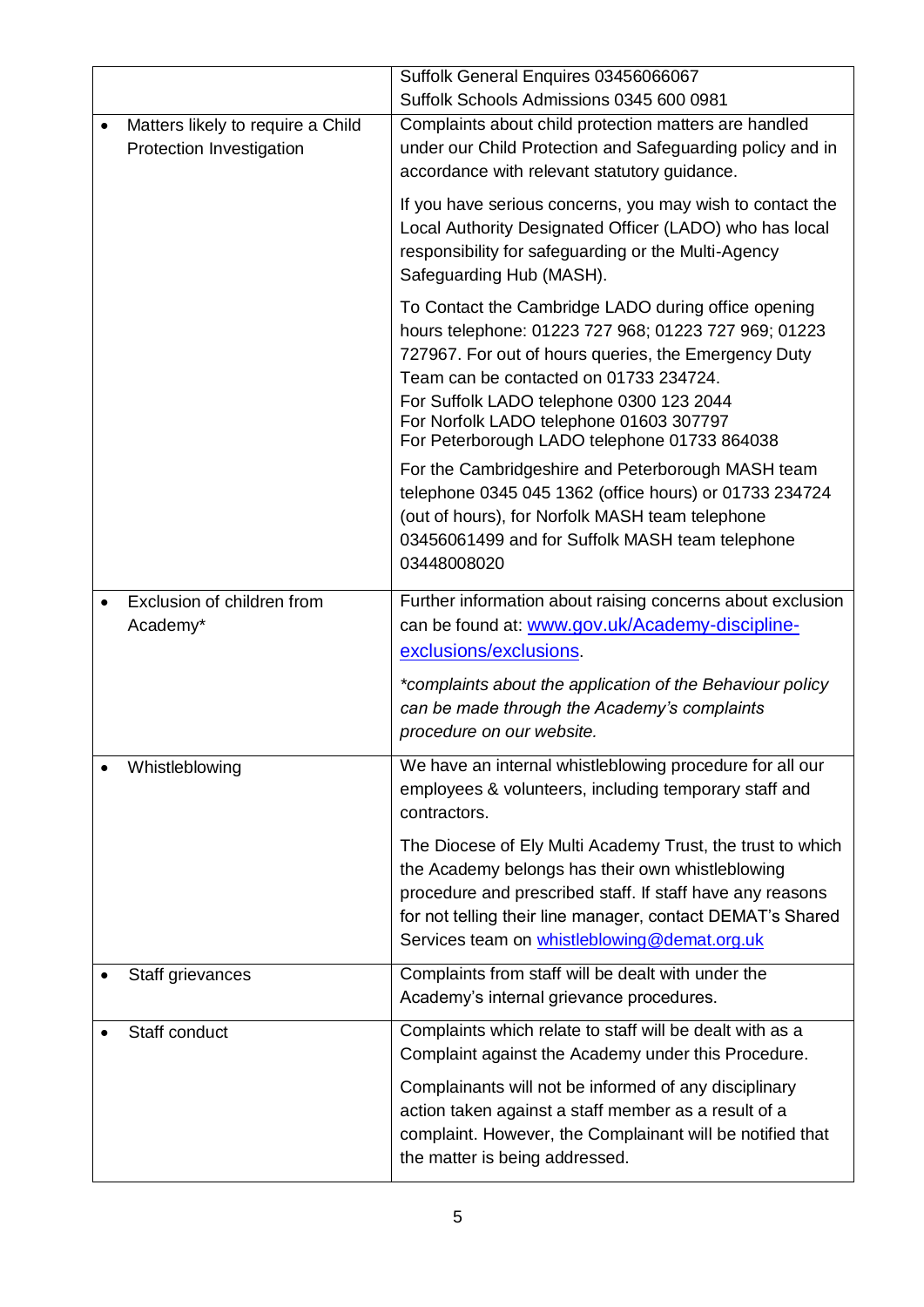|                                                               | Suffolk General Enquires 03456066067                                                                                                                                                                                                                                                                                                                 |
|---------------------------------------------------------------|------------------------------------------------------------------------------------------------------------------------------------------------------------------------------------------------------------------------------------------------------------------------------------------------------------------------------------------------------|
|                                                               | Suffolk Schools Admissions 0345 600 0981                                                                                                                                                                                                                                                                                                             |
| Matters likely to require a Child<br>Protection Investigation | Complaints about child protection matters are handled<br>under our Child Protection and Safeguarding policy and in<br>accordance with relevant statutory guidance.                                                                                                                                                                                   |
|                                                               | If you have serious concerns, you may wish to contact the<br>Local Authority Designated Officer (LADO) who has local<br>responsibility for safeguarding or the Multi-Agency<br>Safeguarding Hub (MASH).                                                                                                                                              |
|                                                               | To Contact the Cambridge LADO during office opening<br>hours telephone: 01223 727 968; 01223 727 969; 01223<br>727967. For out of hours queries, the Emergency Duty<br>Team can be contacted on 01733 234724.<br>For Suffolk LADO telephone 0300 123 2044<br>For Norfolk LADO telephone 01603 307797<br>For Peterborough LADO telephone 01733 864038 |
|                                                               | For the Cambridgeshire and Peterborough MASH team<br>telephone 0345 045 1362 (office hours) or 01733 234724<br>(out of hours), for Norfolk MASH team telephone<br>03456061499 and for Suffolk MASH team telephone<br>03448008020                                                                                                                     |
| Exclusion of children from<br>Academy*                        | Further information about raising concerns about exclusion<br>can be found at: www.gov.uk/Academy-discipline-<br>exclusions/exclusions.                                                                                                                                                                                                              |
|                                                               | *complaints about the application of the Behaviour policy<br>can be made through the Academy's complaints<br>procedure on our website.                                                                                                                                                                                                               |
| Whistleblowing                                                | We have an internal whistleblowing procedure for all our<br>employees & volunteers, including temporary staff and<br>contractors.                                                                                                                                                                                                                    |
|                                                               | The Diocese of Ely Multi Academy Trust, the trust to which<br>the Academy belongs has their own whistleblowing<br>procedure and prescribed staff. If staff have any reasons<br>for not telling their line manager, contact DEMAT's Shared<br>Services team on whistleblowing@demat.org.uk                                                            |
| Staff grievances                                              | Complaints from staff will be dealt with under the<br>Academy's internal grievance procedures.                                                                                                                                                                                                                                                       |
| Staff conduct                                                 | Complaints which relate to staff will be dealt with as a<br>Complaint against the Academy under this Procedure.                                                                                                                                                                                                                                      |
|                                                               | Complainants will not be informed of any disciplinary<br>action taken against a staff member as a result of a<br>complaint. However, the Complainant will be notified that<br>the matter is being addressed.                                                                                                                                         |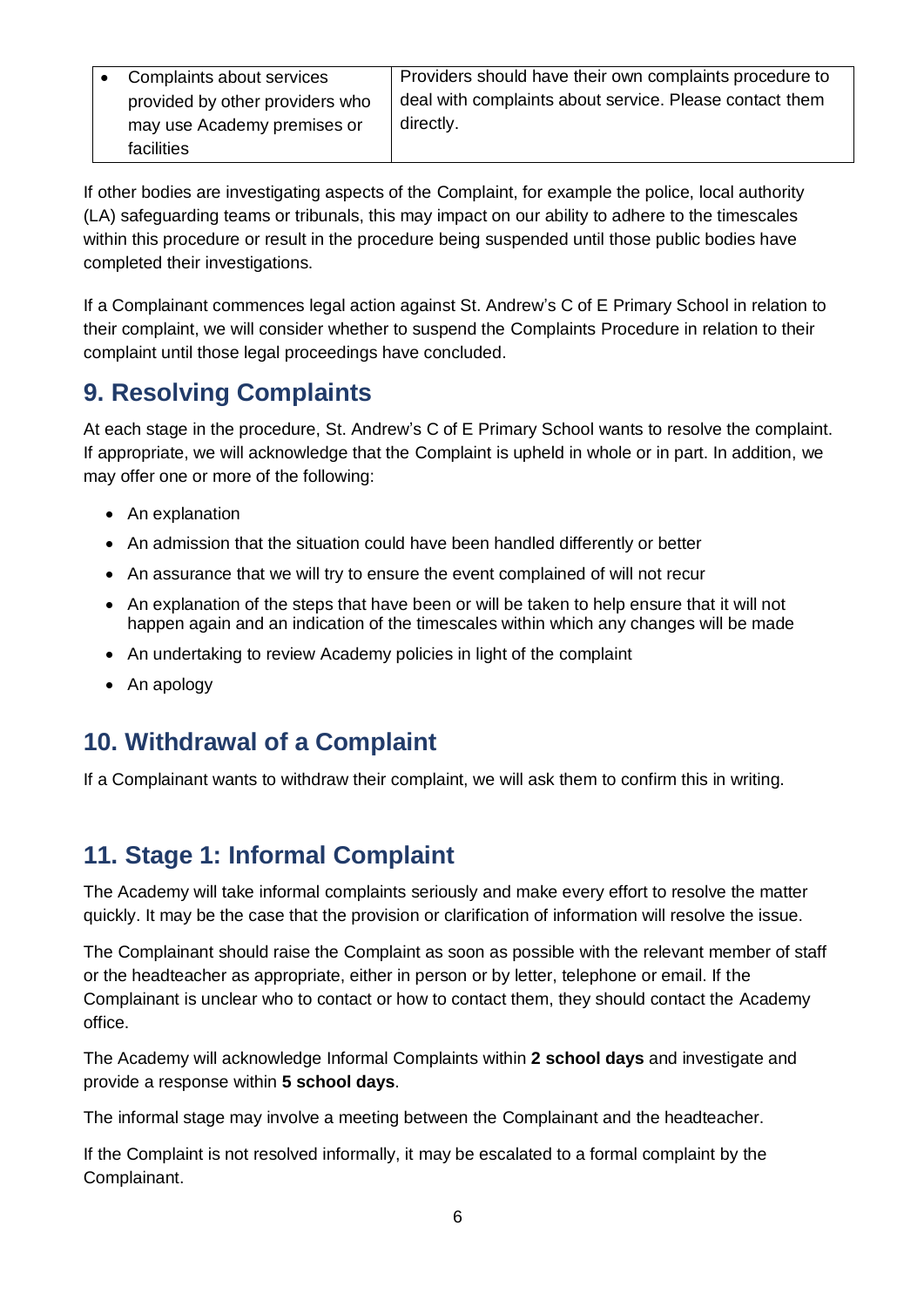| Complaints about services       | Providers should have their own complaints procedure to |
|---------------------------------|---------------------------------------------------------|
| provided by other providers who | deal with complaints about service. Please contact them |
| may use Academy premises or     | directly.                                               |
| facilities                      |                                                         |

If other bodies are investigating aspects of the Complaint, for example the police, local authority (LA) safeguarding teams or tribunals, this may impact on our ability to adhere to the timescales within this procedure or result in the procedure being suspended until those public bodies have completed their investigations.

If a Complainant commences legal action against St. Andrew's C of E Primary School in relation to their complaint, we will consider whether to suspend the Complaints Procedure in relation to their complaint until those legal proceedings have concluded.

## **9. Resolving Complaints**

At each stage in the procedure, St. Andrew's C of E Primary School wants to resolve the complaint. If appropriate, we will acknowledge that the Complaint is upheld in whole or in part. In addition, we may offer one or more of the following:

- An explanation
- An admission that the situation could have been handled differently or better
- An assurance that we will try to ensure the event complained of will not recur
- An explanation of the steps that have been or will be taken to help ensure that it will not happen again and an indication of the timescales within which any changes will be made
- An undertaking to review Academy policies in light of the complaint
- An apology

## **10. Withdrawal of a Complaint**

If a Complainant wants to withdraw their complaint, we will ask them to confirm this in writing.

## **11. Stage 1: Informal Complaint**

The Academy will take informal complaints seriously and make every effort to resolve the matter quickly. It may be the case that the provision or clarification of information will resolve the issue.

The Complainant should raise the Complaint as soon as possible with the relevant member of staff or the headteacher as appropriate, either in person or by letter, telephone or email. If the Complainant is unclear who to contact or how to contact them, they should contact the Academy office.

The Academy will acknowledge Informal Complaints within **2 school days** and investigate and provide a response within **5 school days**.

The informal stage may involve a meeting between the Complainant and the headteacher.

If the Complaint is not resolved informally, it may be escalated to a formal complaint by the Complainant.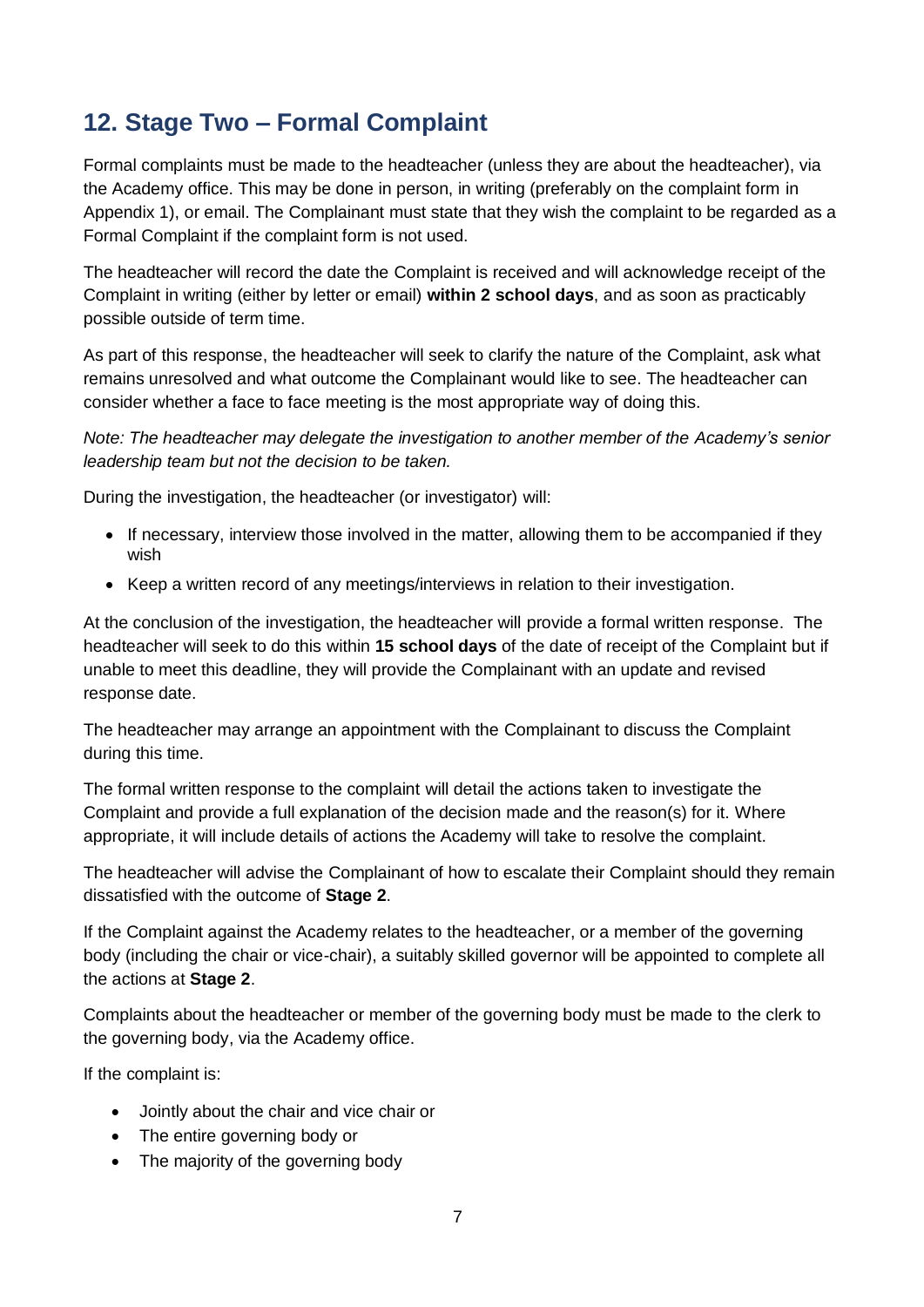# **12. Stage Two – Formal Complaint**

Formal complaints must be made to the headteacher (unless they are about the headteacher), via the Academy office. This may be done in person, in writing (preferably on the complaint form in Appendix 1), or email. The Complainant must state that they wish the complaint to be regarded as a Formal Complaint if the complaint form is not used.

The headteacher will record the date the Complaint is received and will acknowledge receipt of the Complaint in writing (either by letter or email) **within 2 school days**, and as soon as practicably possible outside of term time.

As part of this response, the headteacher will seek to clarify the nature of the Complaint, ask what remains unresolved and what outcome the Complainant would like to see. The headteacher can consider whether a face to face meeting is the most appropriate way of doing this.

*Note: The headteacher may delegate the investigation to another member of the Academy's senior leadership team but not the decision to be taken.*

During the investigation, the headteacher (or investigator) will:

- If necessary, interview those involved in the matter, allowing them to be accompanied if they wish
- Keep a written record of any meetings/interviews in relation to their investigation.

At the conclusion of the investigation, the headteacher will provide a formal written response. The headteacher will seek to do this within **15 school days** of the date of receipt of the Complaint but if unable to meet this deadline, they will provide the Complainant with an update and revised response date.

The headteacher may arrange an appointment with the Complainant to discuss the Complaint during this time.

The formal written response to the complaint will detail the actions taken to investigate the Complaint and provide a full explanation of the decision made and the reason(s) for it. Where appropriate, it will include details of actions the Academy will take to resolve the complaint.

The headteacher will advise the Complainant of how to escalate their Complaint should they remain dissatisfied with the outcome of **Stage 2**.

If the Complaint against the Academy relates to the headteacher, or a member of the governing body (including the chair or vice-chair), a suitably skilled governor will be appointed to complete all the actions at **Stage 2**.

Complaints about the headteacher or member of the governing body must be made to the clerk to the governing body, via the Academy office.

If the complaint is:

- Jointly about the chair and vice chair or
- The entire governing body or
- The majority of the governing body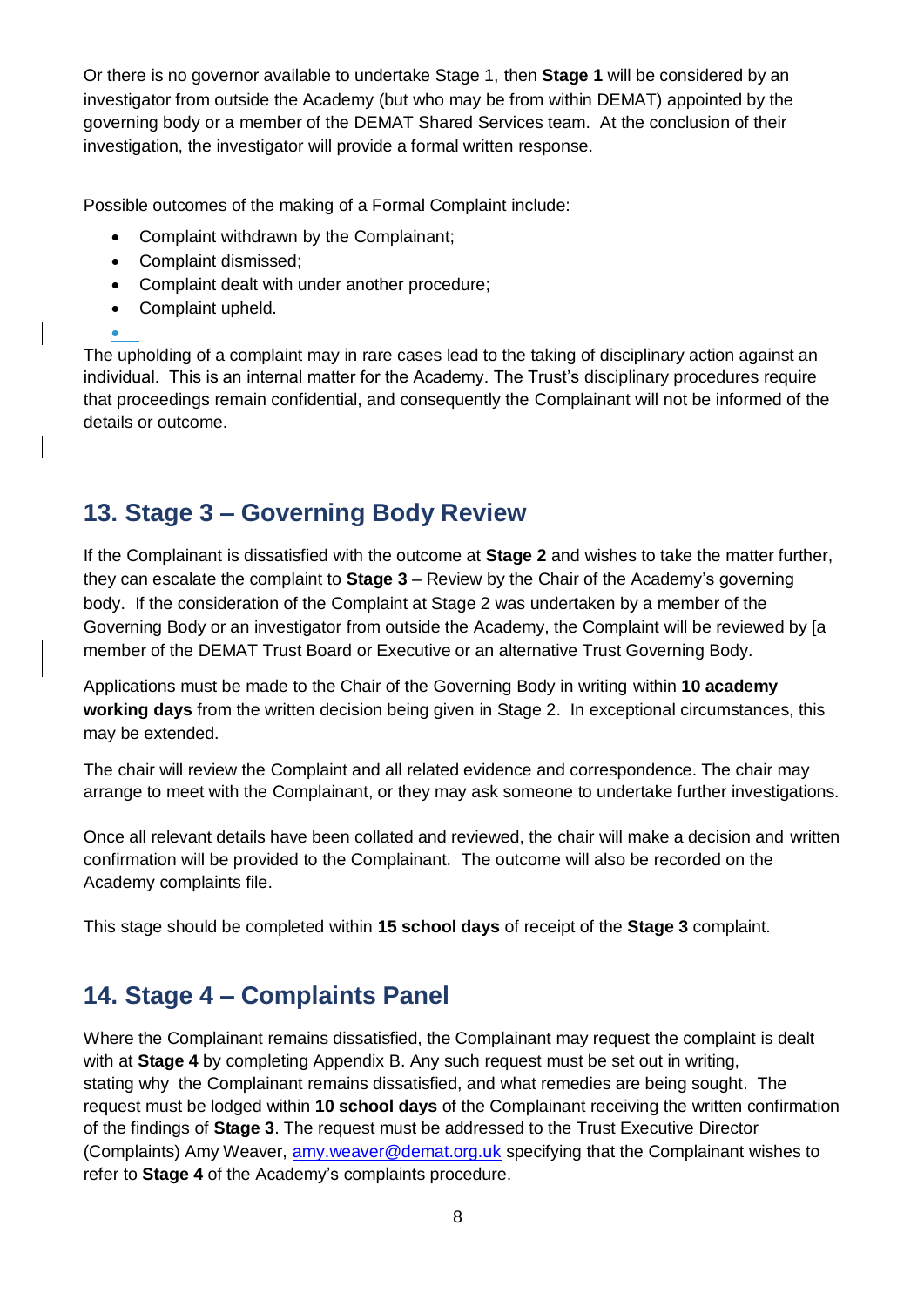Or there is no governor available to undertake Stage 1, then **Stage 1** will be considered by an investigator from outside the Academy (but who may be from within DEMAT) appointed by the governing body or a member of the DEMAT Shared Services team. At the conclusion of their investigation, the investigator will provide a formal written response.

Possible outcomes of the making of a Formal Complaint include:

- Complaint withdrawn by the Complainant;
- Complaint dismissed:
- Complaint dealt with under another procedure:
- Complaint upheld.

 $\bullet$ 

The upholding of a complaint may in rare cases lead to the taking of disciplinary action against an individual. This is an internal matter for the Academy. The Trust's disciplinary procedures require that proceedings remain confidential, and consequently the Complainant will not be informed of the details or outcome.

# **13. Stage 3 – Governing Body Review**

If the Complainant is dissatisfied with the outcome at **Stage 2** and wishes to take the matter further, they can escalate the complaint to **Stage 3** – Review by the Chair of the Academy's governing body. If the consideration of the Complaint at Stage 2 was undertaken by a member of the Governing Body or an investigator from outside the Academy, the Complaint will be reviewed by [a member of the DEMAT Trust Board or Executive or an alternative Trust Governing Body.

Applications must be made to the Chair of the Governing Body in writing within **10 academy working days** from the written decision being given in Stage 2. In exceptional circumstances, this may be extended.

The chair will review the Complaint and all related evidence and correspondence. The chair may arrange to meet with the Complainant, or they may ask someone to undertake further investigations.

Once all relevant details have been collated and reviewed, the chair will make a decision and written confirmation will be provided to the Complainant. The outcome will also be recorded on the Academy complaints file.

This stage should be completed within **15 school days** of receipt of the **Stage 3** complaint.

# **14. Stage 4 – Complaints Panel**

Where the Complainant remains dissatisfied, the Complainant may request the complaint is dealt with at **Stage 4** by completing Appendix B. Any such request must be set out in writing, stating why the Complainant remains dissatisfied, and what remedies are being sought. The request must be lodged within **10 school days** of the Complainant receiving the written confirmation of the findings of **Stage 3**. The request must be addressed to the Trust Executive Director (Complaints) Amy Weaver, [amy.weaver@demat.org.uk](mailto:amy.weaver@demat.org.uk) specifying that the Complainant wishes to refer to **Stage 4** of the Academy's complaints procedure.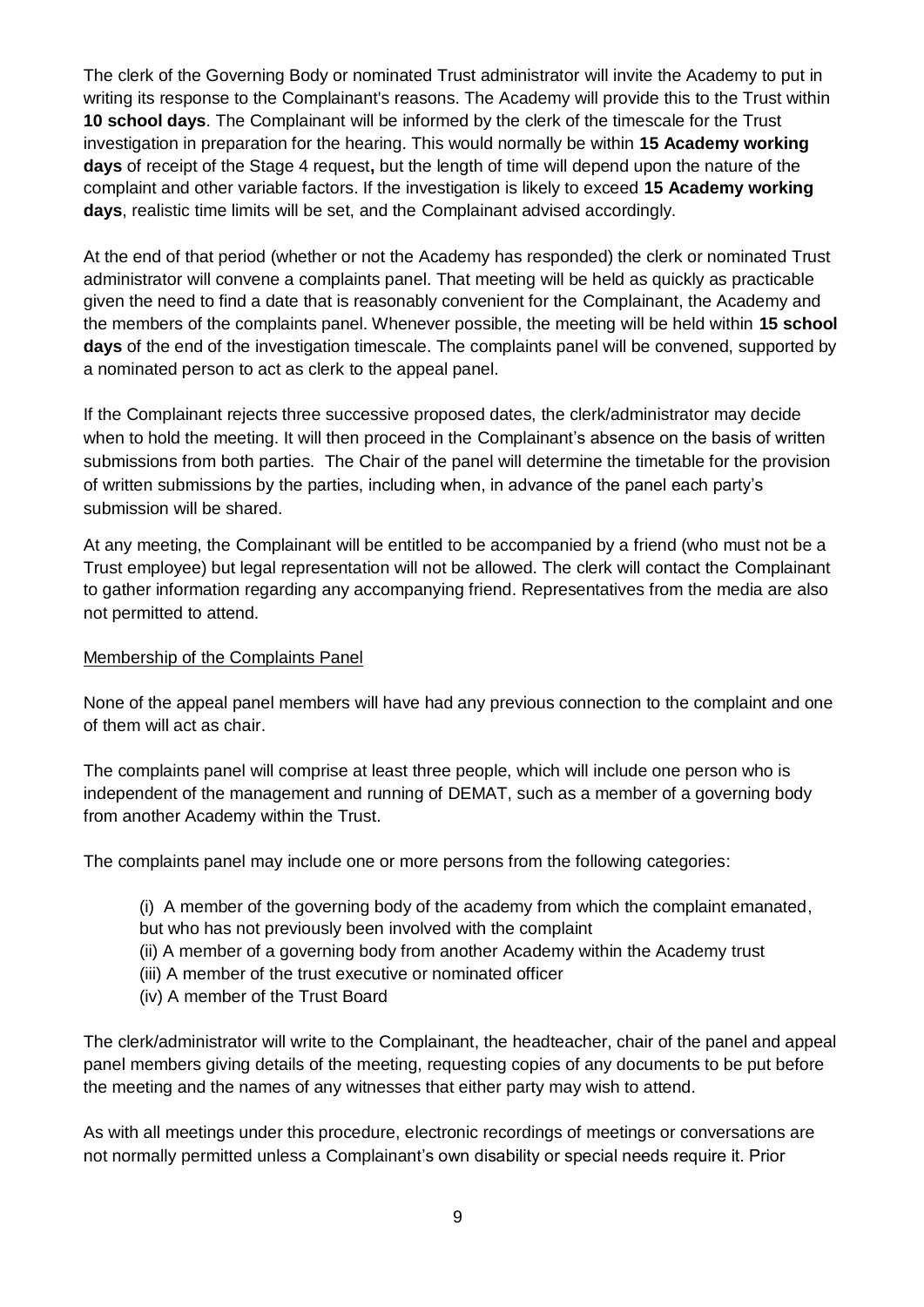The clerk of the Governing Body or nominated Trust administrator will invite the Academy to put in writing its response to the Complainant's reasons. The Academy will provide this to the Trust within **10 school days**. The Complainant will be informed by the clerk of the timescale for the Trust investigation in preparation for the hearing. This would normally be within **15 Academy working days** of receipt of the Stage 4 request**,** but the length of time will depend upon the nature of the complaint and other variable factors. If the investigation is likely to exceed **15 Academy working days**, realistic time limits will be set, and the Complainant advised accordingly.

At the end of that period (whether or not the Academy has responded) the clerk or nominated Trust administrator will convene a complaints panel. That meeting will be held as quickly as practicable given the need to find a date that is reasonably convenient for the Complainant, the Academy and the members of the complaints panel. Whenever possible, the meeting will be held within **15 school days** of the end of the investigation timescale. The complaints panel will be convened, supported by a nominated person to act as clerk to the appeal panel.

If the Complainant rejects three successive proposed dates, the clerk/administrator may decide when to hold the meeting. It will then proceed in the Complainant's absence on the basis of written submissions from both parties. The Chair of the panel will determine the timetable for the provision of written submissions by the parties, including when, in advance of the panel each party's submission will be shared.

At any meeting, the Complainant will be entitled to be accompanied by a friend (who must not be a Trust employee) but legal representation will not be allowed. The clerk will contact the Complainant to gather information regarding any accompanying friend. Representatives from the media are also not permitted to attend.

#### Membership of the Complaints Panel

None of the appeal panel members will have had any previous connection to the complaint and one of them will act as chair.

The complaints panel will comprise at least three people, which will include one person who is independent of the management and running of DEMAT, such as a member of a governing body from another Academy within the Trust.

The complaints panel may include one or more persons from the following categories:

- (i) A member of the governing body of the academy from which the complaint emanated, but who has not previously been involved with the complaint
- (ii) A member of a governing body from another Academy within the Academy trust
- (iii) A member of the trust executive or nominated officer
- (iv) A member of the Trust Board

The clerk/administrator will write to the Complainant, the headteacher, chair of the panel and appeal panel members giving details of the meeting, requesting copies of any documents to be put before the meeting and the names of any witnesses that either party may wish to attend.

As with all meetings under this procedure, electronic recordings of meetings or conversations are not normally permitted unless a Complainant's own disability or special needs require it. Prior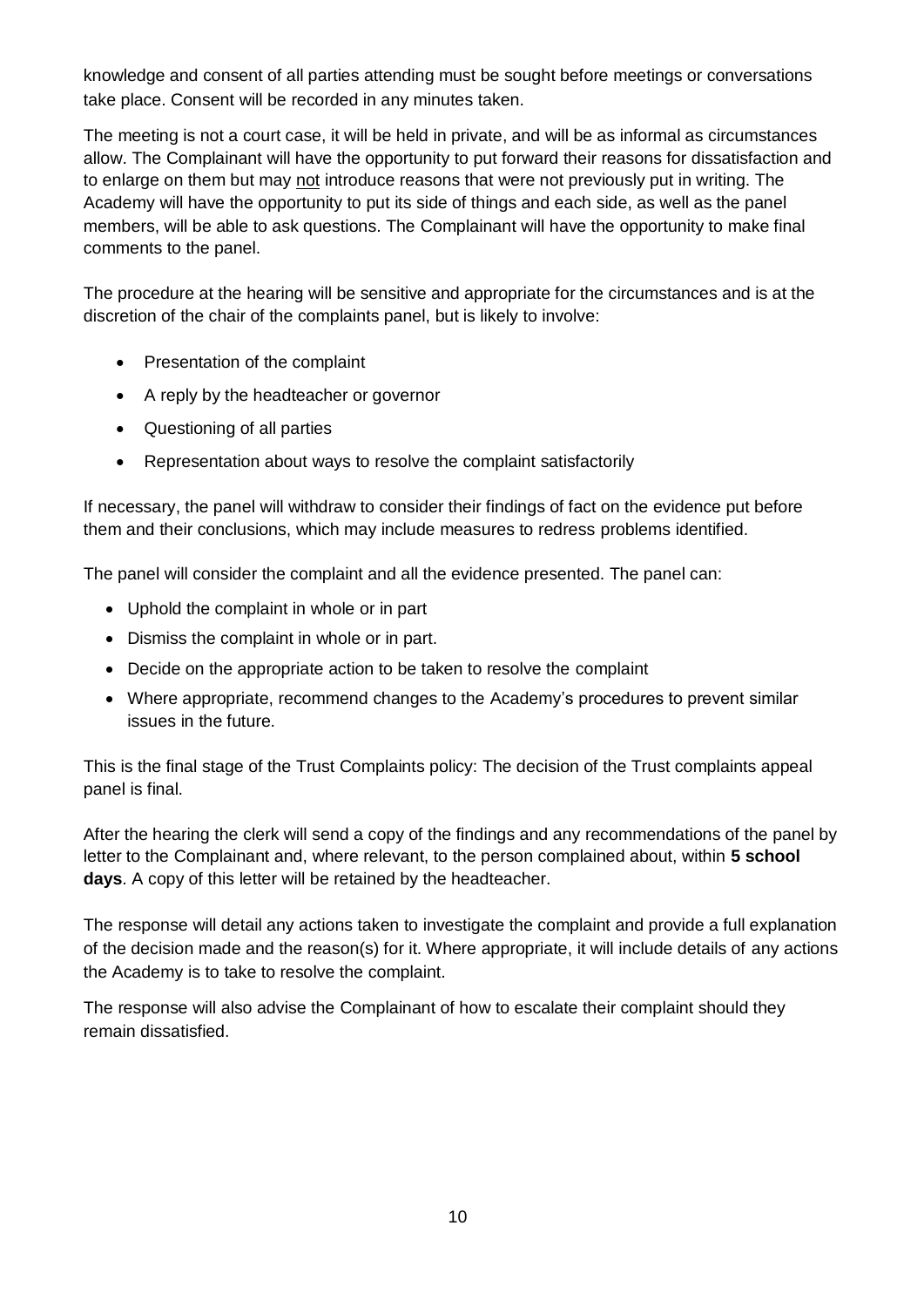knowledge and consent of all parties attending must be sought before meetings or conversations take place. Consent will be recorded in any minutes taken.

The meeting is not a court case, it will be held in private, and will be as informal as circumstances allow. The Complainant will have the opportunity to put forward their reasons for dissatisfaction and to enlarge on them but may not introduce reasons that were not previously put in writing. The Academy will have the opportunity to put its side of things and each side, as well as the panel members, will be able to ask questions. The Complainant will have the opportunity to make final comments to the panel.

The procedure at the hearing will be sensitive and appropriate for the circumstances and is at the discretion of the chair of the complaints panel, but is likely to involve:

- Presentation of the complaint
- A reply by the headteacher or governor
- Questioning of all parties
- Representation about ways to resolve the complaint satisfactorily

If necessary, the panel will withdraw to consider their findings of fact on the evidence put before them and their conclusions, which may include measures to redress problems identified.

The panel will consider the complaint and all the evidence presented. The panel can:

- Uphold the complaint in whole or in part
- Dismiss the complaint in whole or in part.
- Decide on the appropriate action to be taken to resolve the complaint
- Where appropriate, recommend changes to the Academy's procedures to prevent similar issues in the future.

This is the final stage of the Trust Complaints policy: The decision of the Trust complaints appeal panel is final.

After the hearing the clerk will send a copy of the findings and any recommendations of the panel by letter to the Complainant and, where relevant, to the person complained about, within **5 school days**. A copy of this letter will be retained by the headteacher.

The response will detail any actions taken to investigate the complaint and provide a full explanation of the decision made and the reason(s) for it. Where appropriate, it will include details of any actions the Academy is to take to resolve the complaint.

The response will also advise the Complainant of how to escalate their complaint should they remain dissatisfied.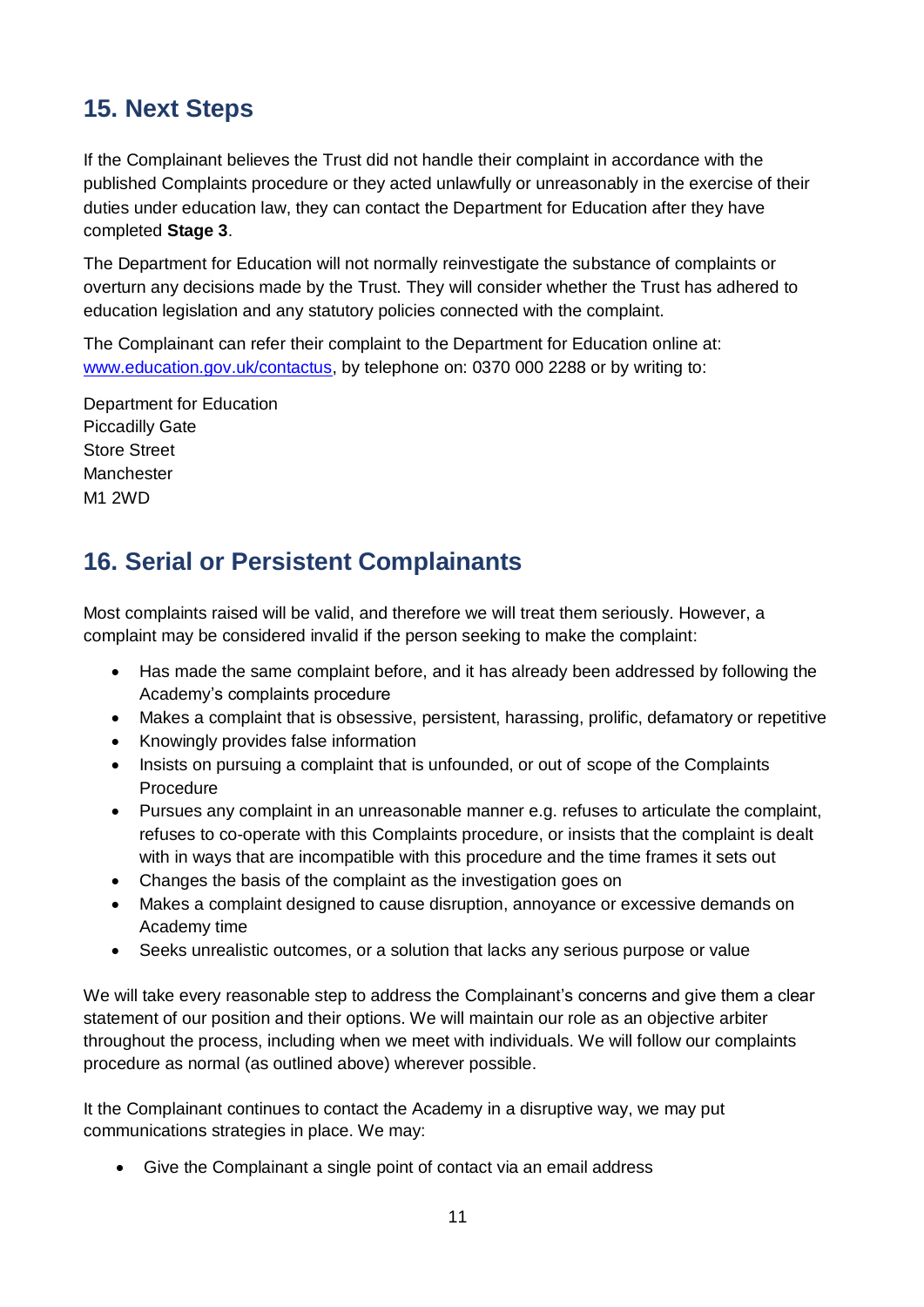# **15. Next Steps**

If the Complainant believes the Trust did not handle their complaint in accordance with the published Complaints procedure or they acted unlawfully or unreasonably in the exercise of their duties under education law, they can contact the Department for Education after they have completed **Stage 3**.

The Department for Education will not normally reinvestigate the substance of complaints or overturn any decisions made by the Trust. They will consider whether the Trust has adhered to education legislation and any statutory policies connected with the complaint.

The Complainant can refer their complaint to the Department for Education online at: [www.education.gov.uk/contactus,](http://www.education.gov.uk/contactus) by telephone on: 0370 000 2288 or by writing to:

Department for Education Piccadilly Gate Store Street Manchester M1 2WD

# **16. Serial or Persistent Complainants**

Most complaints raised will be valid, and therefore we will treat them seriously. However, a complaint may be considered invalid if the person seeking to make the complaint:

- Has made the same complaint before, and it has already been addressed by following the Academy's complaints procedure
- Makes a complaint that is obsessive, persistent, harassing, prolific, defamatory or repetitive
- Knowingly provides false information
- Insists on pursuing a complaint that is unfounded, or out of scope of the Complaints Procedure
- Pursues any complaint in an unreasonable manner e.g. refuses to articulate the complaint, refuses to co-operate with this Complaints procedure, or insists that the complaint is dealt with in ways that are incompatible with this procedure and the time frames it sets out
- Changes the basis of the complaint as the investigation goes on
- Makes a complaint designed to cause disruption, annoyance or excessive demands on Academy time
- Seeks unrealistic outcomes, or a solution that lacks any serious purpose or value

We will take every reasonable step to address the Complainant's concerns and give them a clear statement of our position and their options. We will maintain our role as an objective arbiter throughout the process, including when we meet with individuals. We will follow our complaints procedure as normal (as outlined above) wherever possible.

It the Complainant continues to contact the Academy in a disruptive way, we may put communications strategies in place. We may:

Give the Complainant a single point of contact via an email address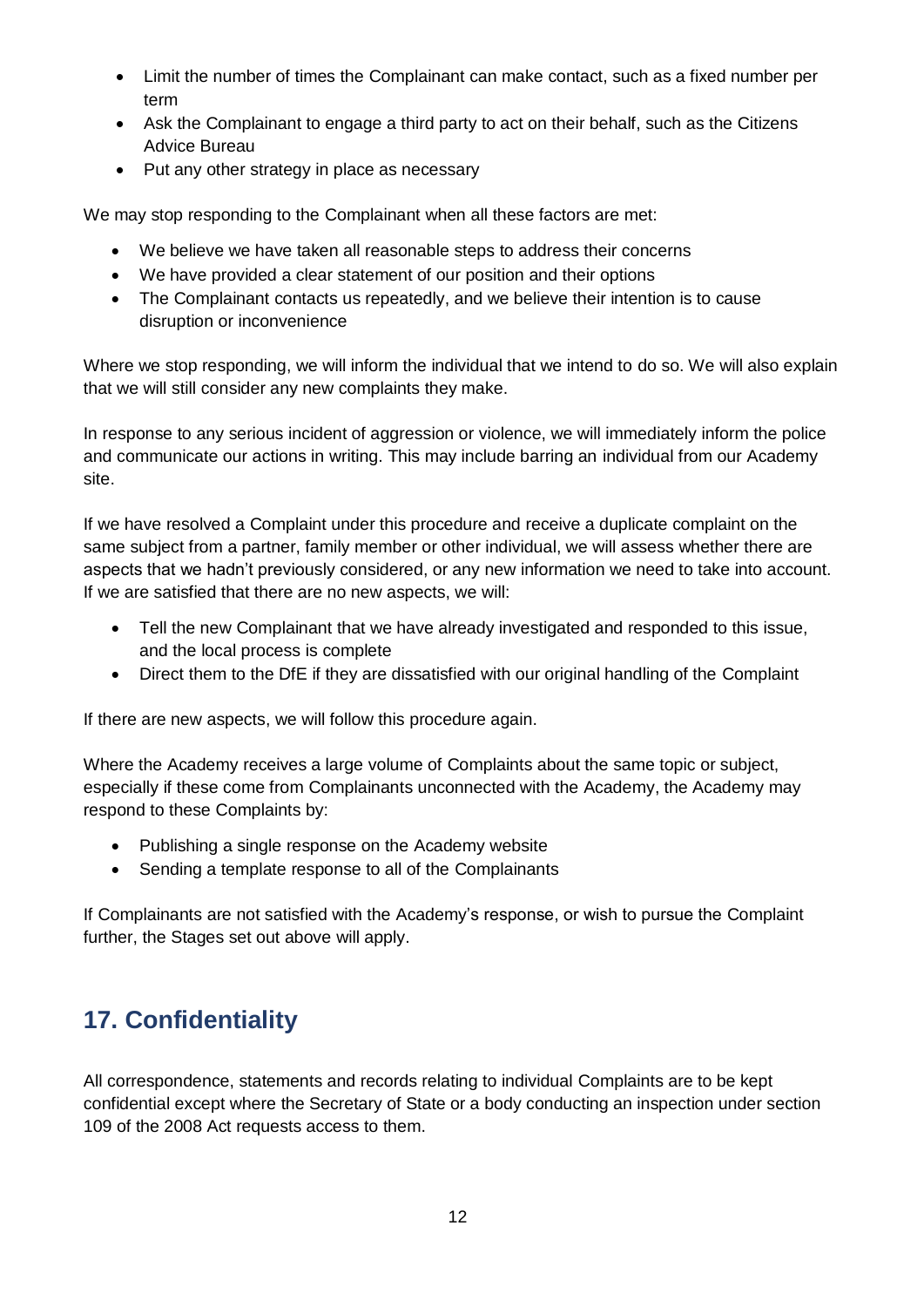- Limit the number of times the Complainant can make contact, such as a fixed number per term
- Ask the Complainant to engage a third party to act on their behalf, such as the Citizens Advice Bureau
- Put any other strategy in place as necessary

We may stop responding to the Complainant when all these factors are met:

- We believe we have taken all reasonable steps to address their concerns
- We have provided a clear statement of our position and their options
- The Complainant contacts us repeatedly, and we believe their intention is to cause disruption or inconvenience

Where we stop responding, we will inform the individual that we intend to do so. We will also explain that we will still consider any new complaints they make.

In response to any serious incident of aggression or violence, we will immediately inform the police and communicate our actions in writing. This may include barring an individual from our Academy site.

If we have resolved a Complaint under this procedure and receive a duplicate complaint on the same subject from a partner, family member or other individual, we will assess whether there are aspects that we hadn't previously considered, or any new information we need to take into account. If we are satisfied that there are no new aspects, we will:

- Tell the new Complainant that we have already investigated and responded to this issue, and the local process is complete
- Direct them to the DfE if they are dissatisfied with our original handling of the Complaint

If there are new aspects, we will follow this procedure again.

Where the Academy receives a large volume of Complaints about the same topic or subject, especially if these come from Complainants unconnected with the Academy, the Academy may respond to these Complaints by:

- Publishing a single response on the Academy website
- Sending a template response to all of the Complainants

If Complainants are not satisfied with the Academy's response, or wish to pursue the Complaint further, the Stages set out above will apply.

# **17. Confidentiality**

All correspondence, statements and records relating to individual Complaints are to be kept confidential except where the Secretary of State or a body conducting an inspection under section 109 of the 2008 Act requests access to them.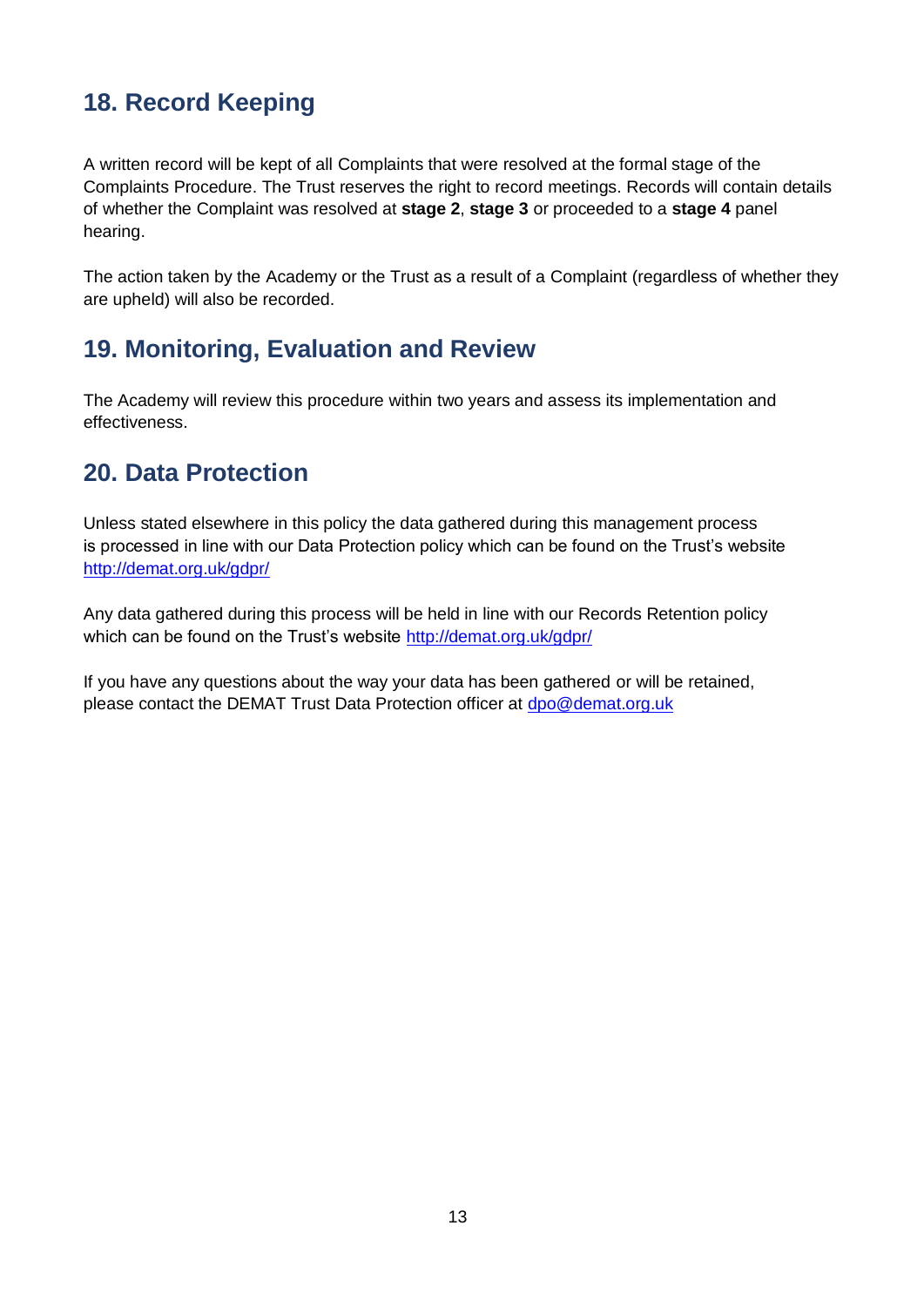# **18. Record Keeping**

A written record will be kept of all Complaints that were resolved at the formal stage of the Complaints Procedure. The Trust reserves the right to record meetings. Records will contain details of whether the Complaint was resolved at **stage 2**, **stage 3** or proceeded to a **stage 4** panel hearing.

The action taken by the Academy or the Trust as a result of a Complaint (regardless of whether they are upheld) will also be recorded.

## **19. Monitoring, Evaluation and Review**

The Academy will review this procedure within two years and assess its implementation and effectiveness.

# **20. Data Protection**

Unless stated elsewhere in this policy the data gathered during this management process is processed in line with our Data Protection policy which can be found on the Trust's website <http://demat.org.uk/gdpr/>

Any data gathered during this process will be held in line with our Records Retention policy which can be found on the Trust's website<http://demat.org.uk/gdpr/>

If you have any questions about the way your data has been gathered or will be retained, please contact the DEMAT Trust Data Protection officer at [dpo@demat.org.uk](mailto:dpo@demat.org.uk)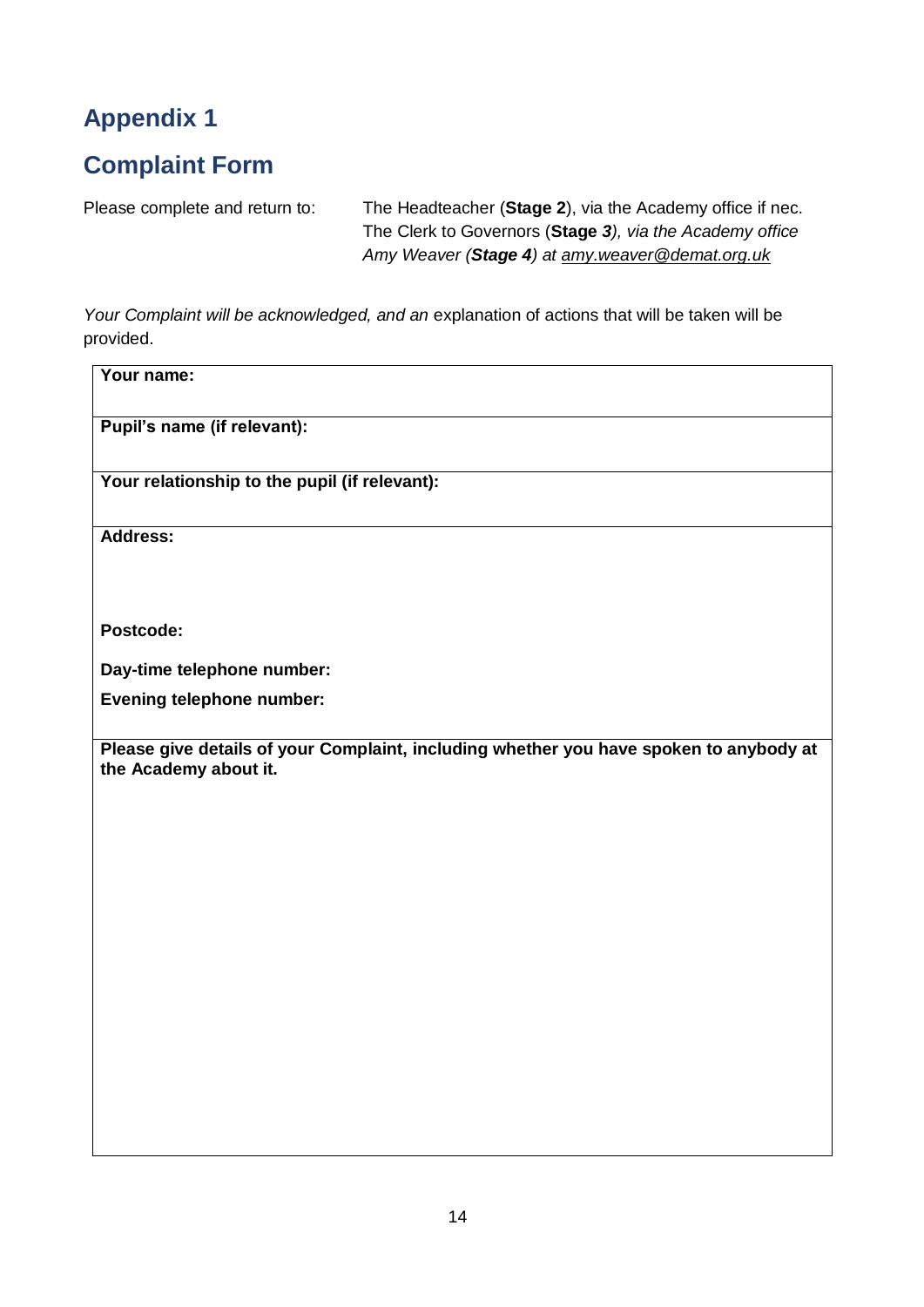# **Complaint Form**

Please complete and return to: The Headteacher (**Stage 2**), via the Academy office if nec.

The Clerk to Governors (**Stage** *3), via the Academy office Amy Weaver (Stage 4) at [amy.weaver@demat.org.uk](mailto:amy.weaver@demat.org.uk)*

*Your Complaint will be acknowledged, and an* explanation of actions that will be taken will be provided.

| Your name:                                                                                                      |
|-----------------------------------------------------------------------------------------------------------------|
| Pupil's name (if relevant):                                                                                     |
| Your relationship to the pupil (if relevant):                                                                   |
| <b>Address:</b>                                                                                                 |
|                                                                                                                 |
| Postcode:                                                                                                       |
| Day-time telephone number:                                                                                      |
| <b>Evening telephone number:</b>                                                                                |
| Please give details of your Complaint, including whether you have spoken to anybody at<br>the Academy about it. |
|                                                                                                                 |
|                                                                                                                 |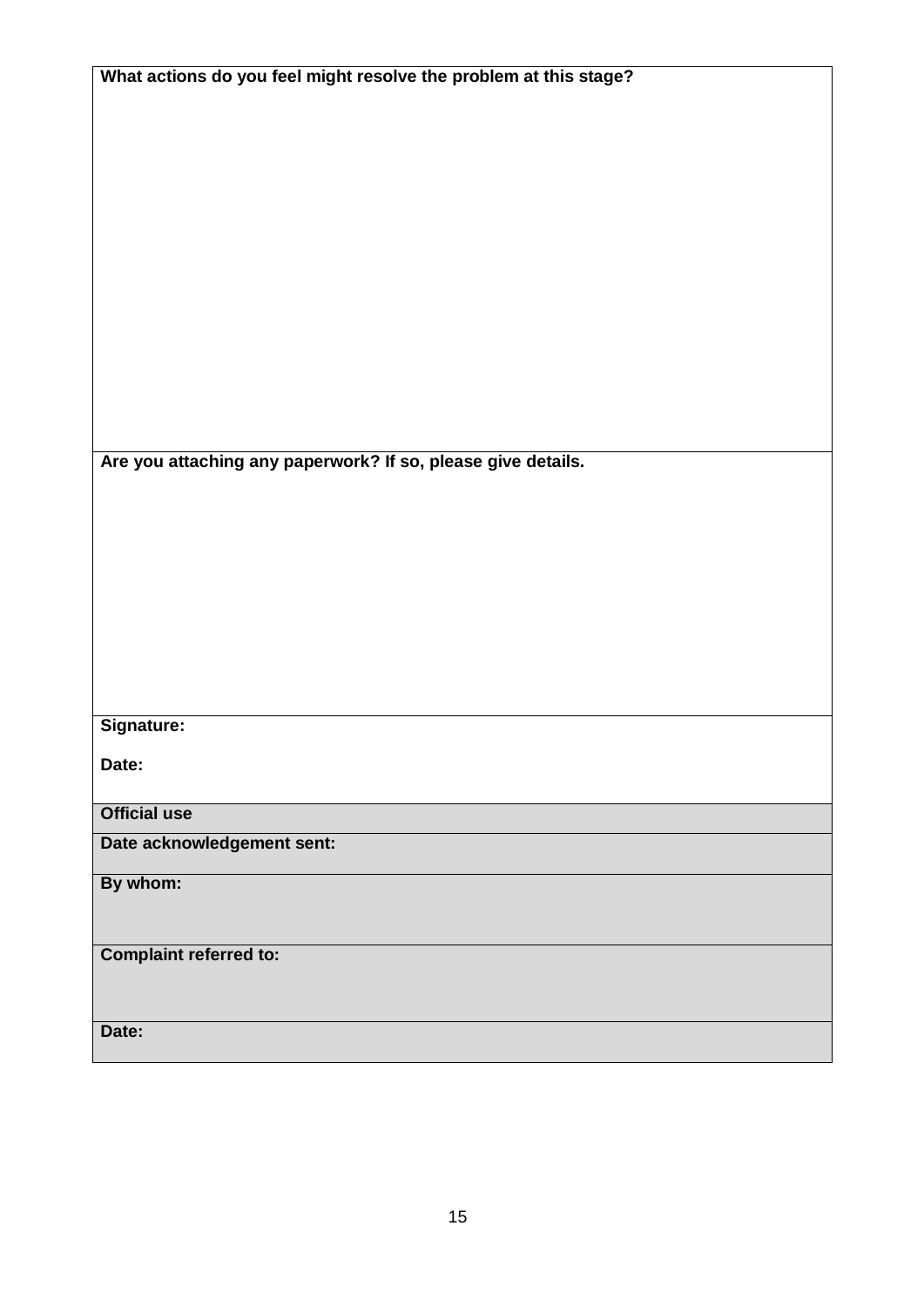| What actions do you feel might resolve the problem at this stage? |
|-------------------------------------------------------------------|
|                                                                   |
|                                                                   |
|                                                                   |
|                                                                   |
|                                                                   |
|                                                                   |
|                                                                   |
|                                                                   |
|                                                                   |
|                                                                   |
|                                                                   |
|                                                                   |
|                                                                   |
|                                                                   |
|                                                                   |
|                                                                   |
| Are you attaching any paperwork? If so, please give details.      |
|                                                                   |
|                                                                   |
|                                                                   |
|                                                                   |
|                                                                   |
|                                                                   |
|                                                                   |
|                                                                   |
|                                                                   |
|                                                                   |
| Signature:                                                        |
|                                                                   |
| Date:                                                             |
|                                                                   |
| <b>Official use</b>                                               |
|                                                                   |
| Date acknowledgement sent:                                        |
| By whom:                                                          |
|                                                                   |
|                                                                   |
| <b>Complaint referred to:</b>                                     |
|                                                                   |
|                                                                   |
|                                                                   |
| Date:                                                             |
|                                                                   |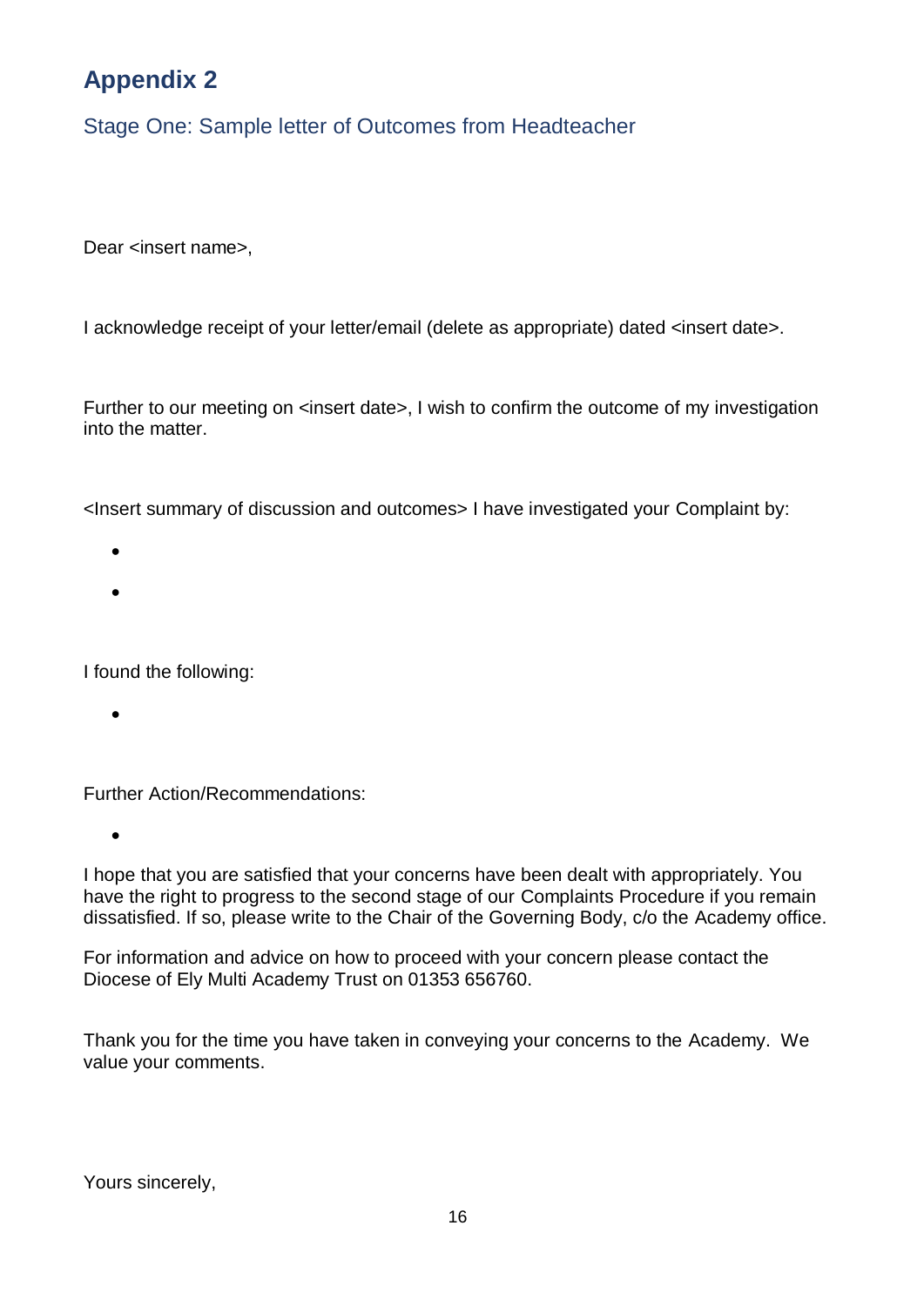Stage One: Sample letter of Outcomes from Headteacher

Dear <insert name>.

I acknowledge receipt of your letter/email (delete as appropriate) dated <insert date>.

Further to our meeting on <insert date>, I wish to confirm the outcome of my investigation into the matter.

<Insert summary of discussion and outcomes> I have investigated your Complaint by:

- $\bullet$
- $\bullet$

I found the following:

 $\bullet$ 

Further Action/Recommendations:

 $\bullet$ 

I hope that you are satisfied that your concerns have been dealt with appropriately. You have the right to progress to the second stage of our Complaints Procedure if you remain dissatisfied. If so, please write to the Chair of the Governing Body, c/o the Academy office.

For information and advice on how to proceed with your concern please contact the Diocese of Ely Multi Academy Trust on 01353 656760.

Thank you for the time you have taken in conveying your concerns to the Academy. We value your comments.

Yours sincerely,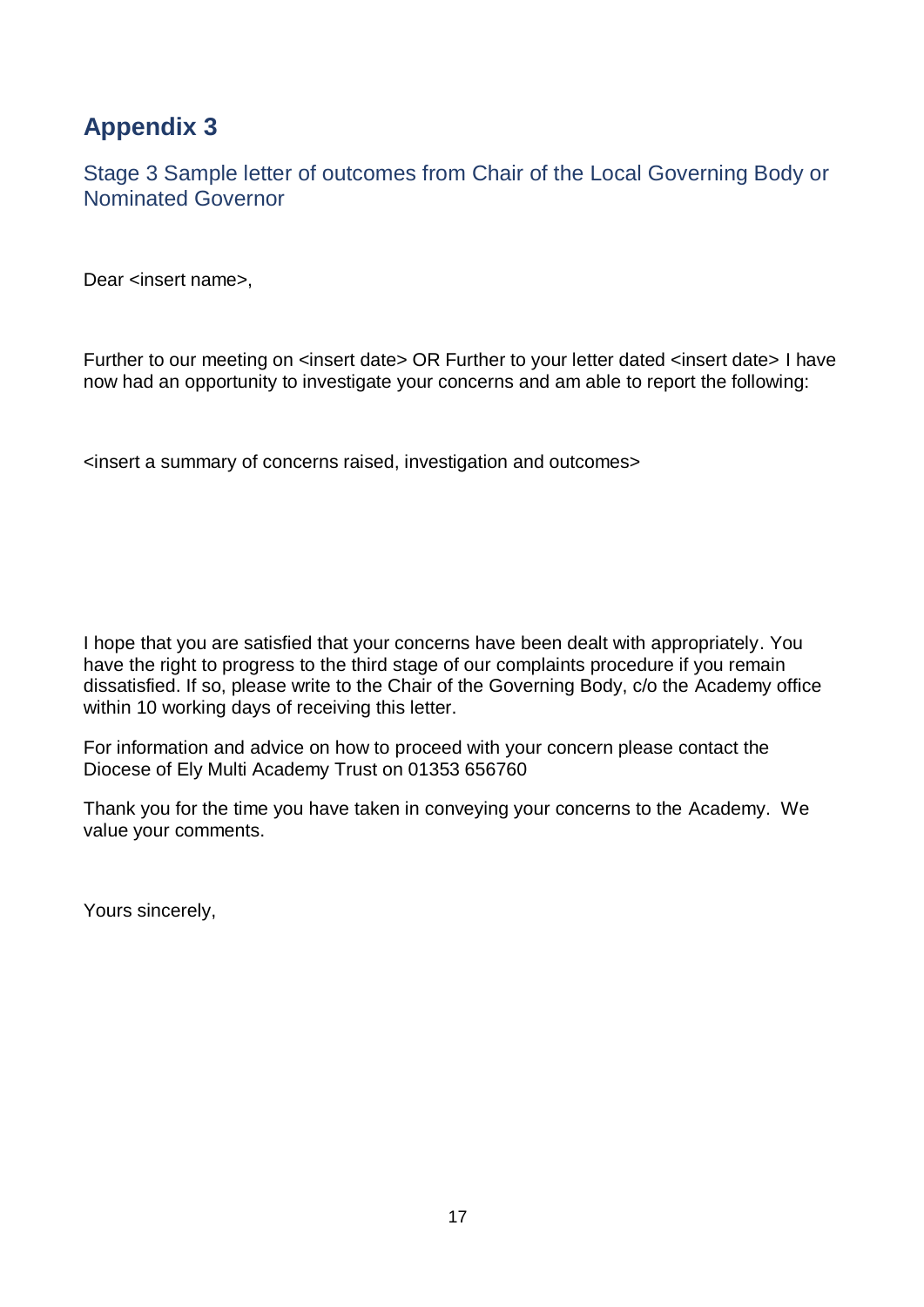Stage 3 Sample letter of outcomes from Chair of the Local Governing Body or Nominated Governor

Dear <insert name>,

Further to our meeting on <insert date> OR Further to your letter dated <insert date> I have now had an opportunity to investigate your concerns and am able to report the following:

<insert a summary of concerns raised, investigation and outcomes>

I hope that you are satisfied that your concerns have been dealt with appropriately. You have the right to progress to the third stage of our complaints procedure if you remain dissatisfied. If so, please write to the Chair of the Governing Body, c/o the Academy office within 10 working days of receiving this letter.

For information and advice on how to proceed with your concern please contact the Diocese of Ely Multi Academy Trust on 01353 656760

Thank you for the time you have taken in conveying your concerns to the Academy. We value your comments.

Yours sincerely,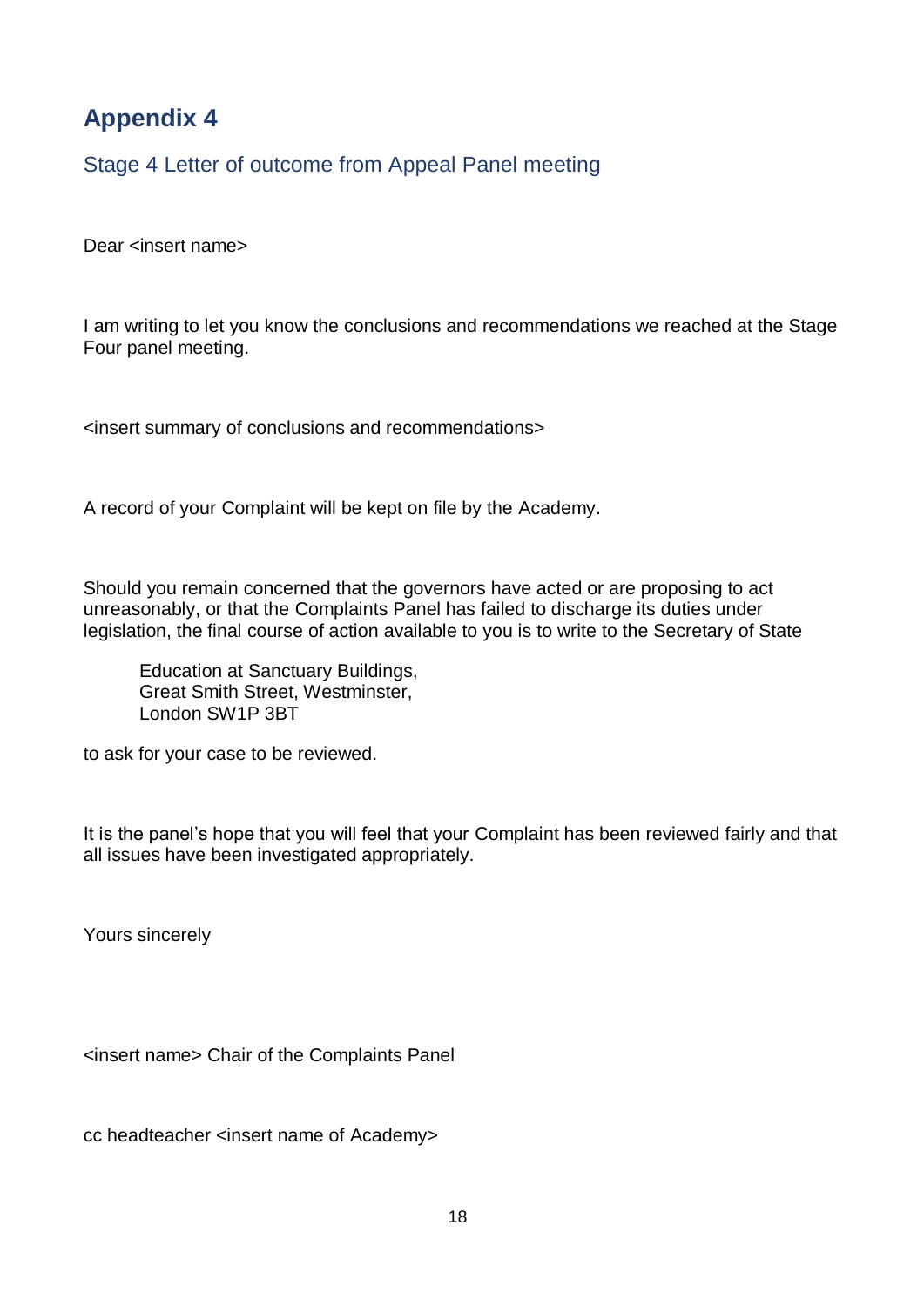Stage 4 Letter of outcome from Appeal Panel meeting

Dear <insert name>

I am writing to let you know the conclusions and recommendations we reached at the Stage Four panel meeting.

<insert summary of conclusions and recommendations>

A record of your Complaint will be kept on file by the Academy.

Should you remain concerned that the governors have acted or are proposing to act unreasonably, or that the Complaints Panel has failed to discharge its duties under legislation, the final course of action available to you is to write to the Secretary of State

Education at Sanctuary Buildings, Great Smith Street, Westminster, London SW1P 3BT

to ask for your case to be reviewed.

It is the panel's hope that you will feel that your Complaint has been reviewed fairly and that all issues have been investigated appropriately.

Yours sincerely

<insert name> Chair of the Complaints Panel

cc headteacher <insert name of Academy>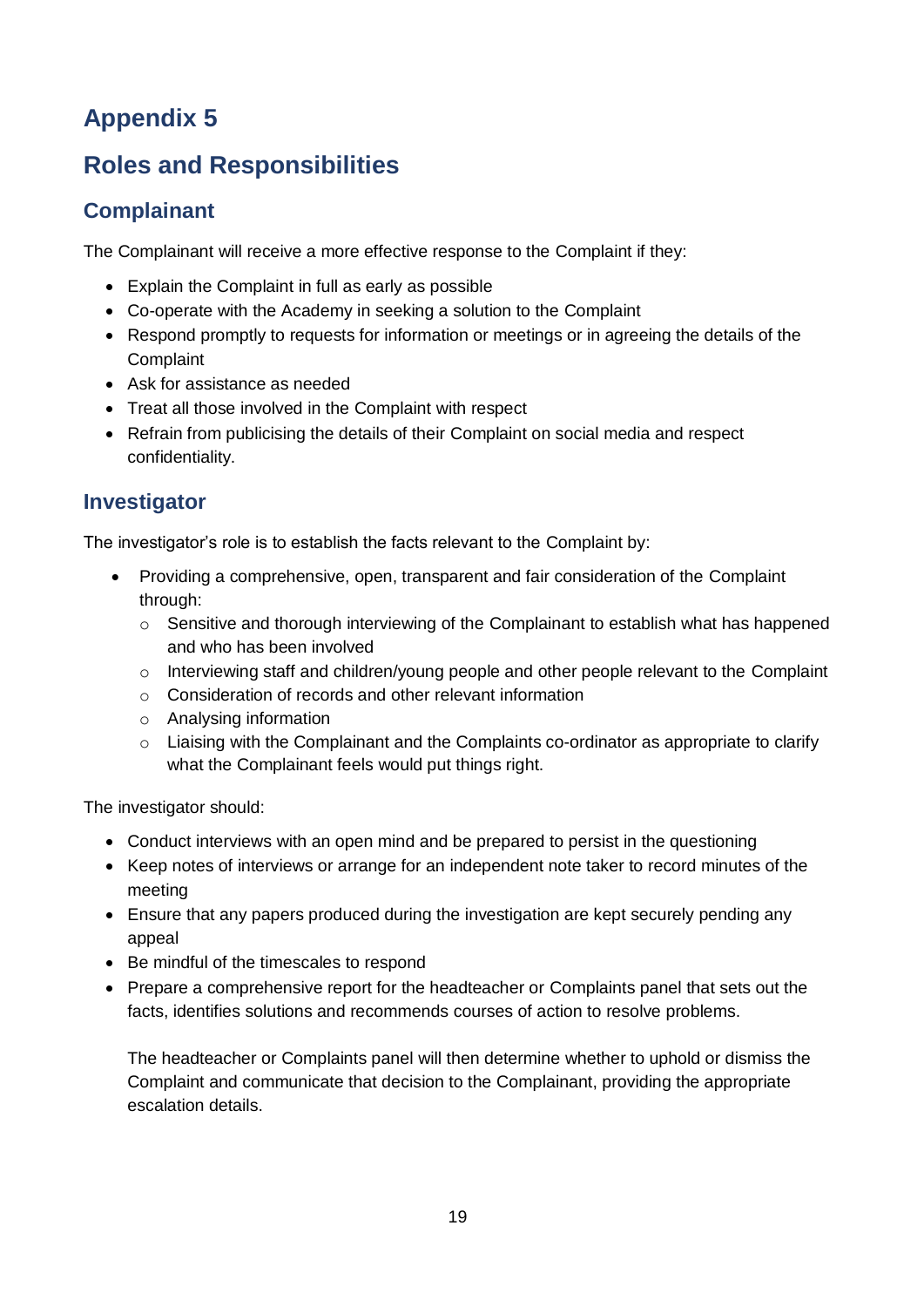# **Roles and Responsibilities**

## **Complainant**

The Complainant will receive a more effective response to the Complaint if they:

- Explain the Complaint in full as early as possible
- Co-operate with the Academy in seeking a solution to the Complaint
- Respond promptly to requests for information or meetings or in agreeing the details of the Complaint
- Ask for assistance as needed
- Treat all those involved in the Complaint with respect
- Refrain from publicising the details of their Complaint on social media and respect confidentiality.

### **Investigator**

The investigator's role is to establish the facts relevant to the Complaint by:

- Providing a comprehensive, open, transparent and fair consideration of the Complaint through:
	- o Sensitive and thorough interviewing of the Complainant to establish what has happened and who has been involved
	- $\circ$  Interviewing staff and children/young people and other people relevant to the Complaint
	- o Consideration of records and other relevant information
	- o Analysing information
	- o Liaising with the Complainant and the Complaints co-ordinator as appropriate to clarify what the Complainant feels would put things right.

The investigator should:

- Conduct interviews with an open mind and be prepared to persist in the questioning
- Keep notes of interviews or arrange for an independent note taker to record minutes of the meeting
- Ensure that any papers produced during the investigation are kept securely pending any appeal
- Be mindful of the timescales to respond
- Prepare a comprehensive report for the headteacher or Complaints panel that sets out the facts, identifies solutions and recommends courses of action to resolve problems.

The headteacher or Complaints panel will then determine whether to uphold or dismiss the Complaint and communicate that decision to the Complainant, providing the appropriate escalation details.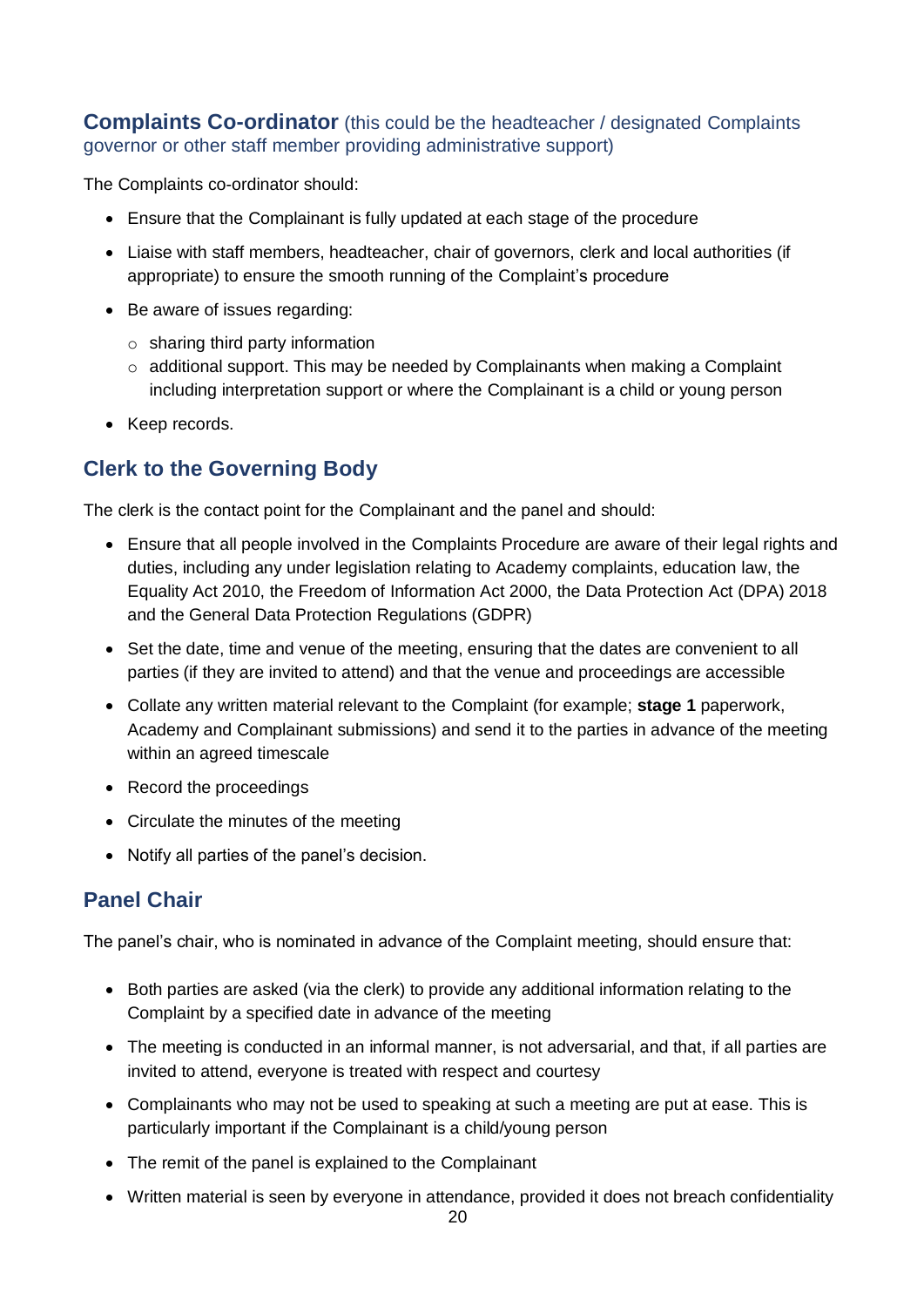#### **Complaints Co-ordinator** (this could be the headteacher / designated Complaints governor or other staff member providing administrative support)

The Complaints co-ordinator should:

- Ensure that the Complainant is fully updated at each stage of the procedure
- Liaise with staff members, headteacher, chair of governors, clerk and local authorities (if appropriate) to ensure the smooth running of the Complaint's procedure
- Be aware of issues regarding:
	- $\circ$  sharing third party information
	- $\circ$  additional support. This may be needed by Complainants when making a Complaint including interpretation support or where the Complainant is a child or young person
- Keep records.

### **Clerk to the Governing Body**

The clerk is the contact point for the Complainant and the panel and should:

- Ensure that all people involved in the Complaints Procedure are aware of their legal rights and duties, including any under legislation relating to Academy complaints, education law, the Equality Act 2010, the Freedom of Information Act 2000, the Data Protection Act (DPA) 2018 and the General Data Protection Regulations (GDPR)
- Set the date, time and venue of the meeting, ensuring that the dates are convenient to all parties (if they are invited to attend) and that the venue and proceedings are accessible
- Collate any written material relevant to the Complaint (for example; **stage 1** paperwork, Academy and Complainant submissions) and send it to the parties in advance of the meeting within an agreed timescale
- Record the proceedings
- Circulate the minutes of the meeting
- Notify all parties of the panel's decision.

#### **Panel Chair**

The panel's chair, who is nominated in advance of the Complaint meeting, should ensure that:

- Both parties are asked (via the clerk) to provide any additional information relating to the Complaint by a specified date in advance of the meeting
- The meeting is conducted in an informal manner, is not adversarial, and that, if all parties are invited to attend, everyone is treated with respect and courtesy
- Complainants who may not be used to speaking at such a meeting are put at ease. This is particularly important if the Complainant is a child/young person
- The remit of the panel is explained to the Complainant
- Written material is seen by everyone in attendance, provided it does not breach confidentiality